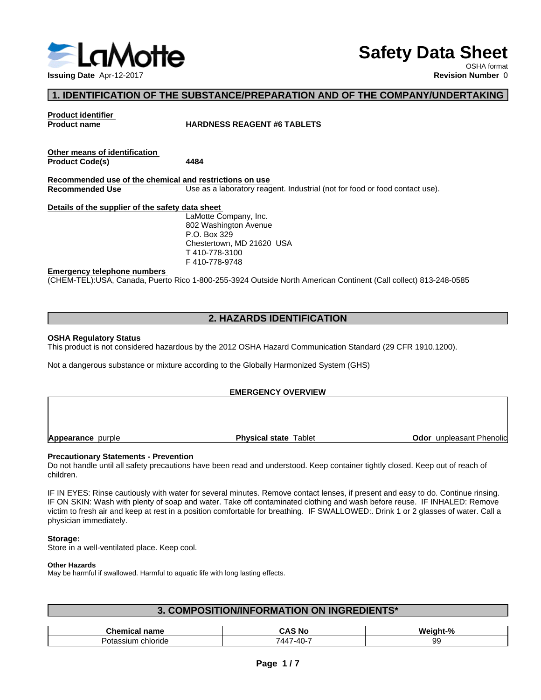

# **Safety Data Sheet**

OSHA format

# **1. IDENTIFICATION OF THE SUBSTANCE/PREPARATION AND OF THE COMPANY/UNDERTAKING**

**Product identifier**

### **Product name HARDNESS REAGENT #6 TABLETS**

| Other means of identification |      |  |
|-------------------------------|------|--|
| <b>Product Code(s)</b>        | 4484 |  |

**Recommended use of the chemical and restrictions on use** Use as a laboratory reagent. Industrial (not for food or food contact use).

**Details of the supplier of the safety data sheet**

LaMotte Company, Inc. 802 Washington Avenue P.O. Box 329 Chestertown, MD 21620 USA T 410-778-3100 F 410-778-9748

### **Emergency telephone numbers**

(CHEM-TEL):USA, Canada, Puerto Rico 1-800-255-3924 Outside North American Continent (Call collect) 813-248-0585

# **2. HAZARDS IDENTIFICATION**

### **OSHA Regulatory Status**

This product is not considered hazardous by the 2012 OSHA Hazard Communication Standard (29 CFR 1910.1200).

Not a dangerous substance or mixture according to the Globally Harmonized System (GHS)

### **EMERGENCY OVERVIEW**

**Appearance** purple **Physical state** Tablet

**Odor** unpleasant Phenolic

### **Precautionary Statements - Prevention**

Do not handle until all safety precautions have been read and understood. Keep container tightly closed. Keep out of reach of children.

IF IN EYES: Rinse cautiously with water for several minutes. Remove contact lenses, if present and easy to do. Continue rinsing. IF ON SKIN: Wash with plenty of soap and water. Take off contaminated clothing and wash before reuse. IF INHALED: Remove victim to fresh air and keep at rest in a position comfortable for breathing. IF SWALLOWED:. Drink 1 or 2 glasses of water. Call a physician immediately.

### **Storage:**

Store in a well-ventilated place. Keep cool.

### **Other Hazards**

May be harmful if swallowed. Harmful to aquatic life with long lasting effects.

# **3. COMPOSITION/INFORMATION ON INGREDIENTS\***

| Chemical<br>name                             | NG<br>$\sim$<br>יינ                   | …eight-"∶<br>$\sqrt{2}$   |
|----------------------------------------------|---------------------------------------|---------------------------|
| chloride<br>$\sim$<br>~~<br>υιαοι<br>,,,,,,, | -∆0.<br>$ \cdot$<br>$-$<br>'44<br>ט-ד | $\sim$<br>uu<br>ັບ<br>- - |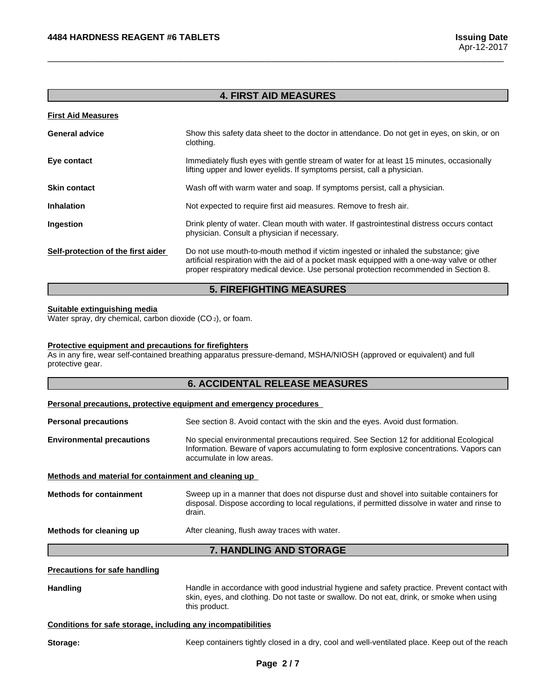# **4. FIRST AID MEASURES**

 $\overline{\phantom{a}}$  ,  $\overline{\phantom{a}}$  ,  $\overline{\phantom{a}}$  ,  $\overline{\phantom{a}}$  ,  $\overline{\phantom{a}}$  ,  $\overline{\phantom{a}}$  ,  $\overline{\phantom{a}}$  ,  $\overline{\phantom{a}}$  ,  $\overline{\phantom{a}}$  ,  $\overline{\phantom{a}}$  ,  $\overline{\phantom{a}}$  ,  $\overline{\phantom{a}}$  ,  $\overline{\phantom{a}}$  ,  $\overline{\phantom{a}}$  ,  $\overline{\phantom{a}}$  ,  $\overline{\phantom{a}}$ 

| Show this safety data sheet to the doctor in attendance. Do not get in eyes, on skin, or on<br>clothing.                                                                                                                                                                  |
|---------------------------------------------------------------------------------------------------------------------------------------------------------------------------------------------------------------------------------------------------------------------------|
| Immediately flush eyes with gentle stream of water for at least 15 minutes, occasionally<br>lifting upper and lower eyelids. If symptoms persist, call a physician.                                                                                                       |
| Wash off with warm water and soap. If symptoms persist, call a physician.                                                                                                                                                                                                 |
| Not expected to require first aid measures. Remove to fresh air.                                                                                                                                                                                                          |
| Drink plenty of water. Clean mouth with water. If gastrointestinal distress occurs contact<br>physician. Consult a physician if necessary.                                                                                                                                |
| Do not use mouth-to-mouth method if victim ingested or inhaled the substance; give<br>artificial respiration with the aid of a pocket mask equipped with a one-way valve or other<br>proper respiratory medical device. Use personal protection recommended in Section 8. |
|                                                                                                                                                                                                                                                                           |

### **5. FIREFIGHTING MEASURES**

### **Suitable extinguishing media**

Water spray, dry chemical, carbon dioxide (CO<sub>2</sub>), or foam.

### **Protective equipment and precautions for firefighters**

As in any fire, wear self-contained breathing apparatus pressure-demand, MSHA/NIOSH (approved or equivalent) and full protective gear.

| <b>6. ACCIDENTAL RELEASE MEASURES</b> |  |
|---------------------------------------|--|
|---------------------------------------|--|

| Personal precautions, protective equipment and emergency procedures |  |
|---------------------------------------------------------------------|--|
|---------------------------------------------------------------------|--|

**Personal precautions** See section 8. Avoid contact with the skin and the eyes. Avoid dust formation. **Environmental precautions** No special environmental precautions required.See Section 12 for additional Ecological Information. Beware of vapors accumulating to form explosive concentrations. Vapors can accumulate in low areas.

### **Methods and material for containment and cleaning up**

**Methods for containment** Sweep up in a manner that does not dispurse dust and shovel into suitable containers for disposal. Dispose according to local regulations, if permitted dissolve in water and rinse to drain.

**Methods for cleaning up** After cleaning, flush away traces with water.

# **7. HANDLING AND STORAGE**

### **Precautions for safe handling**

Handling **Handle in accordance with good industrial hygiene and safety practice. Prevent contact with** skin, eyes, and clothing. Do not taste or swallow. Do not eat, drink, or smoke when using this product.

### **Conditions for safe storage, including any incompatibilities**

Storage: **Keep containers tightly closed in a dry, cool and well-ventilated place. Keep out of the reach**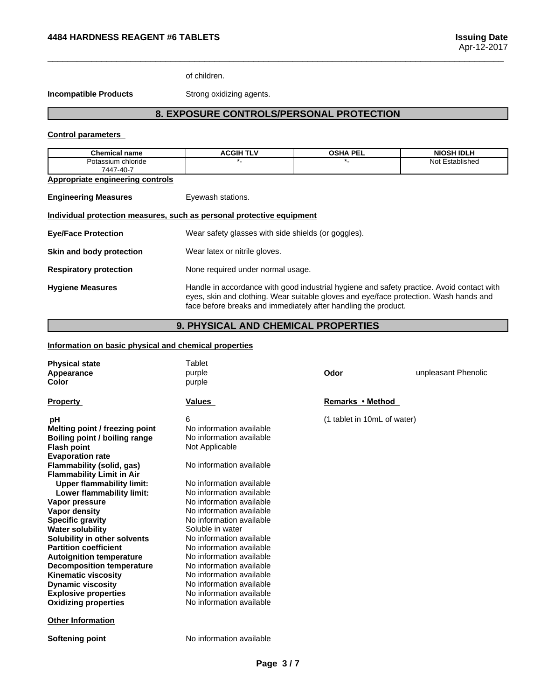of children.

**Incompatible Products** Strong oxidizing agents.

# **8. EXPOSURE CONTROLS/PERSONAL PROTECTION**

 $\overline{\phantom{a}}$  ,  $\overline{\phantom{a}}$  ,  $\overline{\phantom{a}}$  ,  $\overline{\phantom{a}}$  ,  $\overline{\phantom{a}}$  ,  $\overline{\phantom{a}}$  ,  $\overline{\phantom{a}}$  ,  $\overline{\phantom{a}}$  ,  $\overline{\phantom{a}}$  ,  $\overline{\phantom{a}}$  ,  $\overline{\phantom{a}}$  ,  $\overline{\phantom{a}}$  ,  $\overline{\phantom{a}}$  ,  $\overline{\phantom{a}}$  ,  $\overline{\phantom{a}}$  ,  $\overline{\phantom{a}}$ 

### **Control parameters**

| <b>Chemical name</b>                                                  | <b>ACGIH TLV</b>                                                                                                                                                                                                                                     | <b>OSHA PEL</b> | <b>NIOSH IDLH</b> |
|-----------------------------------------------------------------------|------------------------------------------------------------------------------------------------------------------------------------------------------------------------------------------------------------------------------------------------------|-----------------|-------------------|
| Potassium chloride                                                    |                                                                                                                                                                                                                                                      |                 | Not Established   |
| 7447-40-7                                                             |                                                                                                                                                                                                                                                      |                 |                   |
| Appropriate engineering controls                                      |                                                                                                                                                                                                                                                      |                 |                   |
| <b>Engineering Measures</b>                                           | Eyewash stations.                                                                                                                                                                                                                                    |                 |                   |
| Individual protection measures, such as personal protective equipment |                                                                                                                                                                                                                                                      |                 |                   |
| <b>Eye/Face Protection</b>                                            | Wear safety glasses with side shields (or goggles).                                                                                                                                                                                                  |                 |                   |
| Skin and body protection                                              | Wear latex or nitrile gloves.                                                                                                                                                                                                                        |                 |                   |
| <b>Respiratory protection</b>                                         | None required under normal usage.                                                                                                                                                                                                                    |                 |                   |
| <b>Hygiene Measures</b>                                               | Handle in accordance with good industrial hygiene and safety practice. Avoid contact with<br>eyes, skin and clothing. Wear suitable gloves and eye/face protection. Wash hands and<br>face before breaks and immediately after handling the product. |                 |                   |

# **9. PHYSICAL AND CHEMICAL PROPERTIES**

# **Information on basic physical and chemical properties**

| <b>Physical state</b><br>Appearance<br>Color                  | Tablet<br>purple<br>purple | Odor                        | unpleasant Phenolic |
|---------------------------------------------------------------|----------------------------|-----------------------------|---------------------|
| <b>Property</b>                                               | <b>Values</b>              | Remarks • Method            |                     |
| рH                                                            | 6                          | (1 tablet in 10mL of water) |                     |
| Melting point / freezing point                                | No information available   |                             |                     |
| Boiling point / boiling range                                 | No information available   |                             |                     |
| <b>Flash point</b>                                            | Not Applicable             |                             |                     |
| <b>Evaporation rate</b>                                       |                            |                             |                     |
| Flammability (solid, gas)<br><b>Flammability Limit in Air</b> | No information available   |                             |                     |
| <b>Upper flammability limit:</b>                              | No information available   |                             |                     |
| Lower flammability limit:                                     | No information available   |                             |                     |
| Vapor pressure                                                | No information available   |                             |                     |
| <b>Vapor density</b>                                          | No information available   |                             |                     |
| <b>Specific gravity</b>                                       | No information available   |                             |                     |
| <b>Water solubility</b>                                       | Soluble in water           |                             |                     |
| Solubility in other solvents                                  | No information available   |                             |                     |
| <b>Partition coefficient</b>                                  | No information available   |                             |                     |
| <b>Autoignition temperature</b>                               | No information available   |                             |                     |
| <b>Decomposition temperature</b>                              | No information available   |                             |                     |
| <b>Kinematic viscosity</b>                                    | No information available   |                             |                     |
| <b>Dynamic viscosity</b>                                      | No information available   |                             |                     |
| <b>Explosive properties</b>                                   | No information available   |                             |                     |
| <b>Oxidizing properties</b>                                   | No information available   |                             |                     |
| <b>Other Information</b>                                      |                            |                             |                     |
| Softening point                                               | No information available   |                             |                     |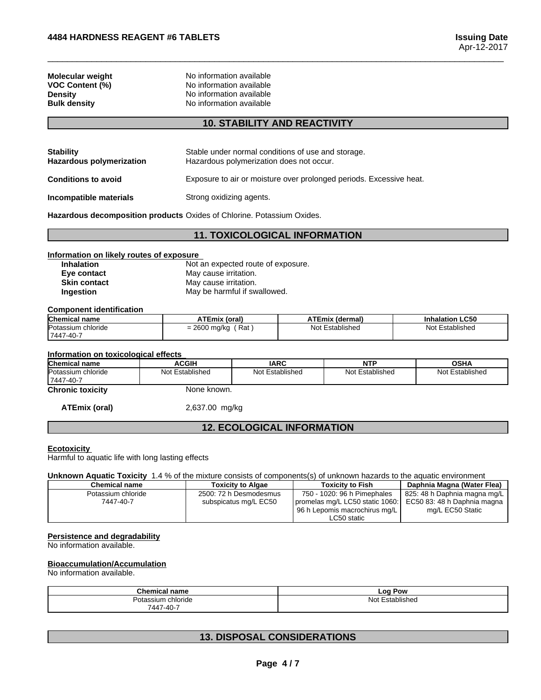**Molecular weight**<br> **VOC Content (%)**<br>
No information available<br>
No information available **VOC Content (%)**<br> **No information available**<br> **No information available Density No information available**<br> **Bulk density No information available No information available** 

# **10. STABILITY AND REACTIVITY**

 $\overline{\phantom{a}}$  ,  $\overline{\phantom{a}}$  ,  $\overline{\phantom{a}}$  ,  $\overline{\phantom{a}}$  ,  $\overline{\phantom{a}}$  ,  $\overline{\phantom{a}}$  ,  $\overline{\phantom{a}}$  ,  $\overline{\phantom{a}}$  ,  $\overline{\phantom{a}}$  ,  $\overline{\phantom{a}}$  ,  $\overline{\phantom{a}}$  ,  $\overline{\phantom{a}}$  ,  $\overline{\phantom{a}}$  ,  $\overline{\phantom{a}}$  ,  $\overline{\phantom{a}}$  ,  $\overline{\phantom{a}}$ 

| <b>Stability</b><br><b>Hazardous polymerization</b> | Stable under normal conditions of use and storage.<br>Hazardous polymerization does not occur. |
|-----------------------------------------------------|------------------------------------------------------------------------------------------------|
| <b>Conditions to avoid</b>                          | Exposure to air or moisture over prolonged periods. Excessive heat.                            |
| Incompatible materials                              | Strong oxidizing agents.                                                                       |

**Hazardous decomposition products** Oxides of Chlorine. Potassium Oxides.

# **11. TOXICOLOGICAL INFORMATION**

# **Information on likely routes of exposure**

**Inhalation** Not an expected route of exposure.<br> **Eye contact** May cause irritation. **Eye contact** May cause irritation.<br> **Skin contact** May cause irritation. **May cause irritation. Ingestion** May be harmful if swallowed.

#### **Component identification**

| <b>Chemical name</b> | ATEmix (oral)         | ATEmix<br>เ (dermal)   | <b>Inhalation LC50</b> |
|----------------------|-----------------------|------------------------|------------------------|
| Potassium chloride   | $= 2600$ mg/kg<br>Rat | ' Established<br>Not ' | Established<br>Not F   |
| 7447-40-7            |                       |                        |                        |

### **Information on toxicological effects**

| <b>Chemical</b><br>l name             | <b>ACGIF</b>       | <b>IARC</b>        | $\sim$<br>N                     | <b>OCUA</b><br>וחט      |
|---------------------------------------|--------------------|--------------------|---------------------------------|-------------------------|
| Potassium<br>⊦chloride<br>  7447-40-7 | Not<br>Established | Established<br>N∩t | $\cdots$<br>Nl∩t<br>∃stablished | .<br>Not<br>Established |

**Chronic toxicity** None known.

**ATEmix (oral)** 2,637.00 mg/kg

# **12. ECOLOGICAL INFORMATION**

### **Ecotoxicity**

Harmful to aquatic life with long lasting effects

### **Unknown Aquatic Toxicity** 1.4 % of the mixture consists of components(s) of unknown hazards to the aquatic environment

| <b>Chemical name</b> | <b>Toxicity to Algae</b> | <b>Toxicity to Fish</b>                                     | Daphnia Magna (Water Flea)   |
|----------------------|--------------------------|-------------------------------------------------------------|------------------------------|
| Potassium chloride   | 2500: 72 h Desmodesmus   | 750 - 1020: 96 h Pimephales                                 | 825: 48 h Daphnia magna mg/L |
| 7447-40-7            | subspicatus mg/L EC50    | promelas mg/L LC50 static 1060: EC50 83: 48 h Daphnia magna |                              |
|                      |                          | 96 h Lepomis macrochirus mg/L                               | mg/L EC50 Static             |
|                      |                          | LC50 static                                                 |                              |

### **Persistence and degradability**

No information available.

### **Bioaccumulation/Accumulation**

No information available.

| <b>Chamu</b><br>∣name<br>Chemical | $-00$<br><b>Pow</b>                 |
|-----------------------------------|-------------------------------------|
| ∍∽<br>chloride<br>sium            | ∹stablisheo<br>No.<br>$\sim$ $\sim$ |
| 744<br>$7 - A \Omega$<br>$\cdot$  |                                     |

# **13. DISPOSAL CONSIDERATIONS**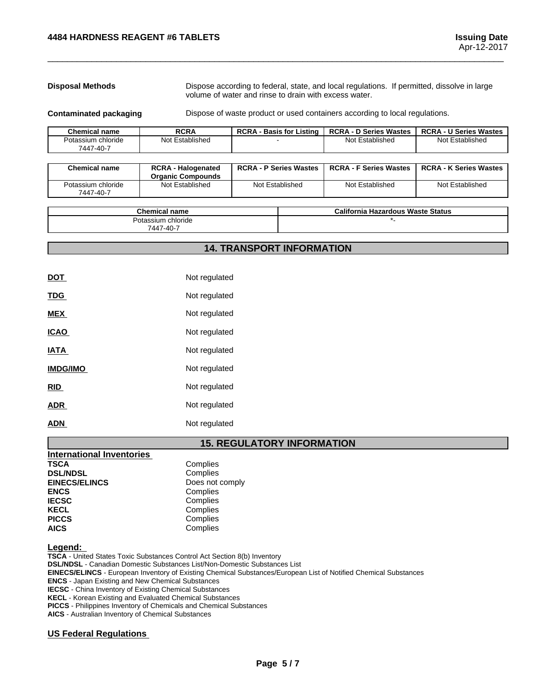**Disposal Methods** Dispose according to federal, state, and local regulations. If permitted, dissolve in large volume of water and rinse to drain with excess water.

**Contaminated packaging <b>Dispose** of waste product or used containers according to local regulations.

 $\overline{\phantom{a}}$  ,  $\overline{\phantom{a}}$  ,  $\overline{\phantom{a}}$  ,  $\overline{\phantom{a}}$  ,  $\overline{\phantom{a}}$  ,  $\overline{\phantom{a}}$  ,  $\overline{\phantom{a}}$  ,  $\overline{\phantom{a}}$  ,  $\overline{\phantom{a}}$  ,  $\overline{\phantom{a}}$  ,  $\overline{\phantom{a}}$  ,  $\overline{\phantom{a}}$  ,  $\overline{\phantom{a}}$  ,  $\overline{\phantom{a}}$  ,  $\overline{\phantom{a}}$  ,  $\overline{\phantom{a}}$ 

| <b>Chemical name</b>            | <b>RCRA</b>     | <b>RCRA - Basis for Listing</b> | <b>RCRA - D Series Wastes</b> | <b>RCRA - U Series Wastes</b> |
|---------------------------------|-----------------|---------------------------------|-------------------------------|-------------------------------|
| Potassium chloride<br>7447-40-7 | Not Established |                                 | Not Established               | Not Established               |
|                                 |                 |                                 |                               |                               |

| <b>Chemical name</b>            | <b>RCRA - Halogenated</b><br><b>Organic Compounds</b> | <b>RCRA - P Series Wastes</b> | <b>RCRA - F Series Wastes</b> | <b>RCRA - K Series Wastes</b> |
|---------------------------------|-------------------------------------------------------|-------------------------------|-------------------------------|-------------------------------|
| Potassium chloride<br>7447-40-7 | Not Established                                       | Not Established               | Not Established               | Not Established               |

| Chem.<br>name<br>emica                             | California '<br><b>Hazardous Waste Status</b> |
|----------------------------------------------------|-----------------------------------------------|
| chloride<br>$S$ cellim<br>$(1.40 -$<br>7.17<br>444 |                                               |

# **14. TRANSPORT INFORMATION**

| <u>DOT</u>      | Not regulated |
|-----------------|---------------|
| <b>TDG</b>      | Not regulated |
| <b>MEX</b>      | Not regulated |
| <b>ICAO</b>     | Not regulated |
| <b>IATA</b>     | Not regulated |
| <b>IMDG/IMO</b> | Not regulated |
| <b>RID</b>      | Not regulated |
| <b>ADR</b>      | Not regulated |
| <b>ADN</b>      | Not regulated |

# **15. REGULATORY INFORMATION**

| <b>International Inventories</b> |                 |
|----------------------------------|-----------------|
| TSCA                             | Complies        |
| <b>DSL/NDSL</b>                  | Complies        |
| <b>EINECS/ELINCS</b>             | Does not comply |
| <b>ENCS</b>                      | Complies        |
| <b>IECSC</b>                     | Complies        |
| <b>KECL</b>                      | Complies        |
| <b>PICCS</b>                     | Complies        |
| <b>AICS</b>                      | Complies        |

**Legend:** 

**TSCA** - United States Toxic Substances Control Act Section 8(b) Inventory **DSL/NDSL** - Canadian Domestic Substances List/Non-Domestic Substances List **EINECS/ELINCS** - European Inventory of Existing Chemical Substances/European List of Notified Chemical Substances **ENCS** - Japan Existing and New Chemical Substances **IECSC** - China Inventory of Existing Chemical Substances **KECL** - Korean Existing and Evaluated Chemical Substances **PICCS** - Philippines Inventory of Chemicals and Chemical Substances **AICS** - Australian Inventory of Chemical Substances

### **US Federal Regulations**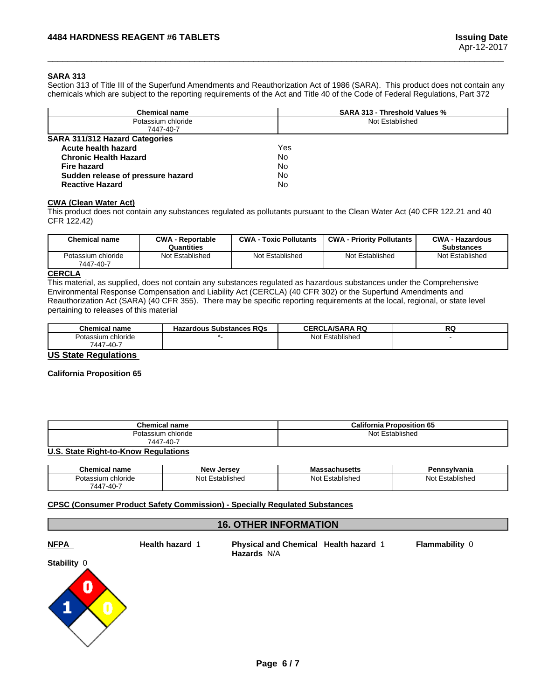### **SARA 313**

Section 313 of Title III of the Superfund Amendments and Reauthorization Act of 1986 (SARA). This product does not contain any chemicals which are subject to the reporting requirements of the Act and Title 40 of the Code of Federal Regulations, Part 372

 $\overline{\phantom{a}}$  ,  $\overline{\phantom{a}}$  ,  $\overline{\phantom{a}}$  ,  $\overline{\phantom{a}}$  ,  $\overline{\phantom{a}}$  ,  $\overline{\phantom{a}}$  ,  $\overline{\phantom{a}}$  ,  $\overline{\phantom{a}}$  ,  $\overline{\phantom{a}}$  ,  $\overline{\phantom{a}}$  ,  $\overline{\phantom{a}}$  ,  $\overline{\phantom{a}}$  ,  $\overline{\phantom{a}}$  ,  $\overline{\phantom{a}}$  ,  $\overline{\phantom{a}}$  ,  $\overline{\phantom{a}}$ 

| <b>Chemical name</b>                  | <b>SARA 313 - Threshold Values %</b> |
|---------------------------------------|--------------------------------------|
| Potassium chloride                    | Not Established                      |
| 7447-40-7                             |                                      |
| <b>SARA 311/312 Hazard Categories</b> |                                      |
| Acute health hazard                   | Yes                                  |
| <b>Chronic Health Hazard</b>          | No                                   |
| <b>Fire hazard</b>                    | No                                   |
| Sudden release of pressure hazard     | No                                   |
| <b>Reactive Hazard</b>                | No                                   |

### **CWA (Clean WaterAct)**

This product does not contain any substances regulated as pollutants pursuant to the Clean Water Act (40 CFR 122.21 and 40 CFR 122.42)

| Not Established<br>Not Established<br>Not Established<br>Not Established<br>Potassium chloride<br>7447-40-7 | <b>Chemical name</b> | <b>CWA - Reportable</b><br>Quantities | <b>CWA - Toxic Pollutants</b> | <b>CWA - Priority Pollutants</b> | <b>CWA - Hazardous</b><br><b>Substances</b> |
|-------------------------------------------------------------------------------------------------------------|----------------------|---------------------------------------|-------------------------------|----------------------------------|---------------------------------------------|
|                                                                                                             |                      |                                       |                               |                                  |                                             |

### **CERCLA**

This material, as supplied, does not contain any substances regulated as hazardous substances under the Comprehensive Environmental Response Compensation and Liability Act (CERCLA) (40 CFR 302) or the Superfund Amendments and Reauthorization Act (SARA) (40 CFR 355). There may be specific reporting requirements at the local, regional, or state level pertaining to releases of this material

| Established<br>Potassium chloride<br>N∩t<br>יש<br>$7 - 40 -$<br>7447<br>−~∪ | <b>Chemical name</b> | <b>Hazardous Substances RQs</b> | LA/SARA RO<br><b>CERCI</b> | DC.<br>n. |
|-----------------------------------------------------------------------------|----------------------|---------------------------------|----------------------------|-----------|
|                                                                             |                      |                                 |                            |           |
|                                                                             |                      |                                 |                            |           |

## **US State Regulations**

### **California Proposition 65**

| <b>Chemical name</b>    | <b>California</b><br>Proposition 65<br>ъ. |
|-------------------------|-------------------------------------------|
| Potassium<br>າ chloride | Established<br>Not                        |
| 7447-40-                |                                           |

### **U.S. State Right-to-Know Regulations**

| <b>Chemical name</b> | <b>New</b><br><b>Jerse</b> v | sachusetts                    | ⊸∾lvania           |
|----------------------|------------------------------|-------------------------------|--------------------|
| Potassium chloride   | <b>Not</b><br>Established    | $\sim$<br>Not<br>'±stablished | ⊤stablisheo<br>Not |
| $-40-$<br>447        |                              |                               |                    |

### **CPSC (Consumer Product Safety Commission) - Specially Regulated Substances**

# **16. OTHER INFORMATION**

**NFPA Health hazard** 1**Physical and Chemical Health hazard** 1 **Flammability** 0 **Hazards** N/A **Stability** 0 0